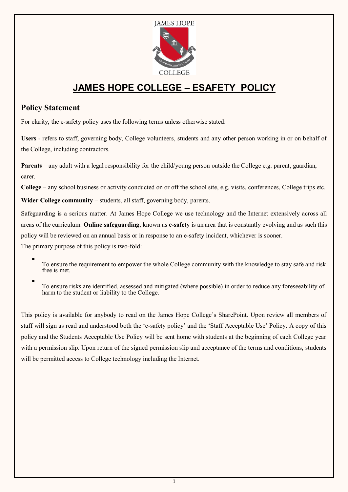

# **JAMES HOPE COLLEGE – ESAFETY POLICY**

## **Policy Statement**

For clarity, the e-safety policy uses the following terms unless otherwise stated:

**Users** - refers to staff, governing body, College volunteers, students and any other person working in or on behalf of the College, including contractors.

**Parents** – any adult with a legal responsibility for the child/young person outside the College e.g. parent, guardian, carer.

**College** – any school business or activity conducted on or off the school site, e.g. visits, conferences, College trips etc.

Wider College community – students, all staff, governing body, parents.

Safeguarding is a serious matter. At James Hope College we use technology and the Internet extensively across all areas of the curriculum. **Online safeguarding**, known as **e-safety** is an area that is constantly evolving and as such this policy will be reviewed on an annual basis or in response to an e-safety incident, whichever is sooner.

The primary purpose of this policy is two-fold:

- . To ensure the requirement to empower the whole College community with the knowledge to stay safe and risk free is met.
- . To ensure risks are identified, assessed and mitigated (where possible) in order to reduce any foreseeability of harm to the student or liability to the College.

This policy is available for anybody to read on the James Hope College's SharePoint. Upon review all members of staff will sign as read and understood both the 'e-safety policy' and the 'Staff Acceptable Use' Policy. A copy of this policy and the Students Acceptable Use Policy will be sent home with students at the beginning of each College year with a permission slip. Upon return of the signed permission slip and acceptance of the terms and conditions, students will be permitted access to College technology including the Internet.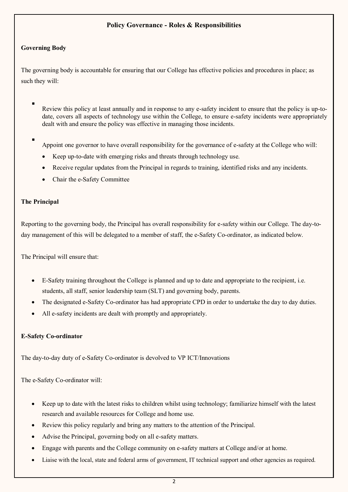## **Policy Governance - Roles & Responsibilities**

### **Governing Body**

The governing body is accountable for ensuring that our College has effective policies and procedures in place; as such they will:

- . Review this policy at least annually and in response to any e-safety incident to ensure that the policy is up-todate, covers all aspects of technology use within the College, to ensure e-safety incidents were appropriately dealt with and ensure the policy was effective in managing those incidents.
	- Appoint one governor to have overall responsibility for the governance of e-safety at the College who will:
		- Keep up-to-date with emerging risks and threats through technology use.
		- Receive regular updates from the Principal in regards to training, identified risks and any incidents.
		- Chair the e-Safety Committee

### **The Principal**

.

Reporting to the governing body, the Principal has overall responsibility for e-safety within our College. The day-today management of this will be delegated to a member of staff, the e-Safety Co-ordinator, as indicated below.

The Principal will ensure that:

- E-Safety training throughout the College is planned and up to date and appropriate to the recipient, i.e. students, all staff, senior leadership team (SLT) and governing body, parents.
- The designated e-Safety Co-ordinator has had appropriate CPD in order to undertake the day to day duties.
- All e-safety incidents are dealt with promptly and appropriately.

#### **E-Safety Co-ordinator**

The day-to-day duty of e-Safety Co-ordinator is devolved to VP ICT/Innovations

The e-Safety Co-ordinator will:

- Keep up to date with the latest risks to children whilst using technology; familiarize himself with the latest research and available resources for College and home use.
- Review this policy regularly and bring any matters to the attention of the Principal.
- Advise the Principal, governing body on all e-safety matters.
- Engage with parents and the College community on e-safety matters at College and/or at home.
- Liaise with the local, state and federal arms of government, IT technical support and other agencies as required.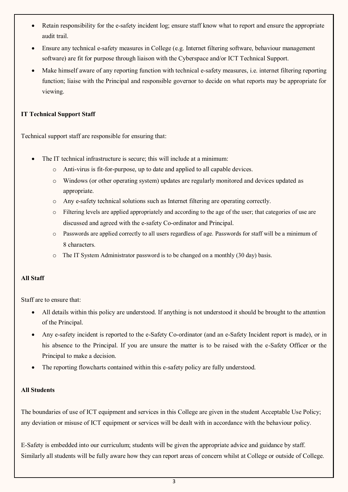- Retain responsibility for the e-safety incident log; ensure staff know what to report and ensure the appropriate audit trail.
- Ensure any technical e-safety measures in College (e.g. Internet filtering software, behaviour management software) are fit for purpose through liaison with the Cyberspace and/or ICT Technical Support.
- Make himself aware of any reporting function with technical e-safety measures, i.e. internet filtering reporting function; liaise with the Principal and responsible governor to decide on what reports may be appropriate for viewing.

## **IT Technical Support Staff**

Technical support staff are responsible for ensuring that:

- The IT technical infrastructure is secure; this will include at a minimum:
	- o Anti-virus is fit-for-purpose, up to date and applied to all capable devices.
	- o Windows (or other operating system) updates are regularly monitored and devices updated as appropriate.
	- o Any e-safety technical solutions such as Internet filtering are operating correctly.
	- o Filtering levels are applied appropriately and according to the age of the user; that categories of use are discussed and agreed with the e-safety Co-ordinator and Principal.
	- o Passwords are applied correctly to all users regardless of age*.* Passwords for staff will be a minimum of 8 characters*.*
	- o The IT System Administrator password is to be changed on a monthly (30 day) basis.

## **All Staff**

Staff are to ensure that:

- All details within this policy are understood. If anything is not understood it should be brought to the attention of the Principal.
- Any e-safety incident is reported to the e-Safety Co-ordinator (and an e-Safety Incident report is made), or in his absence to the Principal. If you are unsure the matter is to be raised with the e-Safety Officer or the Principal to make a decision.
- The reporting flowcharts contained within this e-safety policy are fully understood.

## **All Students**

The boundaries of use of ICT equipment and services in this College are given in the student Acceptable Use Policy; any deviation or misuse of ICT equipment or services will be dealt with in accordance with the behaviour policy.

E-Safety is embedded into our curriculum; students will be given the appropriate advice and guidance by staff. Similarly all students will be fully aware how they can report areas of concern whilst at College or outside of College.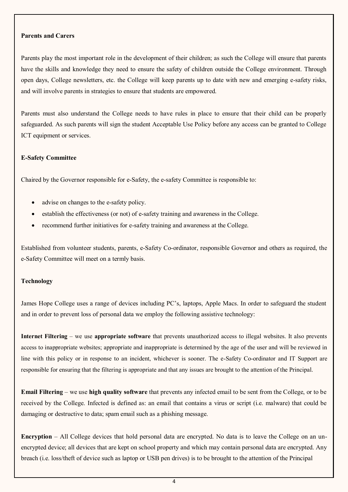#### **Parents and Carers**

Parents play the most important role in the development of their children; as such the College will ensure that parents have the skills and knowledge they need to ensure the safety of children outside the College environment. Through open days, College newsletters, etc. the College will keep parents up to date with new and emerging e-safety risks, and will involve parents in strategies to ensure that students are empowered.

Parents must also understand the College needs to have rules in place to ensure that their child can be properly safeguarded. As such parents will sign the student Acceptable Use Policy before any access can be granted to College ICT equipment or services.

#### **E-Safety Committee**

Chaired by the Governor responsible for e-Safety, the e-safety Committee is responsible to:

- advise on changes to the e-safety policy.
- establish the effectiveness (or not) of e-safety training and awareness in the College.
- recommend further initiatives for e-safety training and awareness at the College.

Established from volunteer students, parents, e-Safety Co-ordinator, responsible Governor and others as required, the e-Safety Committee will meet on a termly basis.

#### **Technology**

James Hope College uses a range of devices including PC's, laptops, Apple Macs. In order to safeguard the student and in order to prevent loss of personal data we employ the following assistive technology:

**Internet Filtering** – we use **appropriate software** that prevents unauthorized access to illegal websites. It also prevents access to inappropriate websites; appropriate and inappropriate is determined by the age of the user and will be reviewed in line with this policy or in response to an incident, whichever is sooner. The e-Safety Co-ordinator and IT Support are responsible for ensuring that the filtering is appropriate and that any issues are brought to the attention of the Principal.

**Email Filtering** – we use **high quality software** that prevents any infected email to be sent from the College, or to be received by the College. Infected is defined as: an email that contains a virus or script (i.e. malware) that could be damaging or destructive to data; spam email such as a phishing message.

**Encryption** – All College devices that hold personal data are encrypted. No data is to leave the College on an unencrypted device; all devices that are kept on school property and which may contain personal data are encrypted. Any breach (i.e. loss/theft of device such as laptop or USB pen drives) is to be brought to the attention of the Principal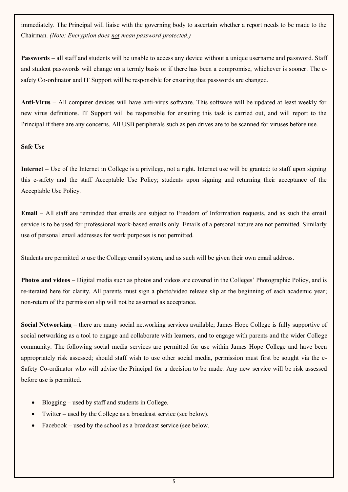immediately. The Principal will liaise with the governing body to ascertain whether a report needs to be made to the Chairman. *(Note: Encryption does not mean password protected.)*

**Passwords** – all staff and students will be unable to access any device without a unique username and password. Staff and student passwords will change on a termly basis or if there has been a compromise, whichever is sooner. The esafety Co-ordinator and IT Support will be responsible for ensuring that passwords are changed.

**Anti-Virus** – All computer devices will have anti-virus software. This software will be updated at least weekly for new virus definitions. IT Support will be responsible for ensuring this task is carried out, and will report to the Principal if there are any concerns. All USB peripherals such as pen drives are to be scanned for viruses before use.

#### **Safe Use**

**Internet** – Use of the Internet in College is a privilege, not a right. Internet use will be granted: to staff upon signing this e-safety and the staff Acceptable Use Policy; students upon signing and returning their acceptance of the Acceptable Use Policy.

**Email** – All staff are reminded that emails are subject to Freedom of Information requests, and as such the email service is to be used for professional work-based emails only. Emails of a personal nature are not permitted. Similarly use of personal email addresses for work purposes is not permitted.

Students are permitted to use the College email system, and as such will be given their own email address.

**Photos and videos** – Digital media such as photos and videos are covered in the Colleges' Photographic Policy, and is re-iterated here for clarity. All parents must sign a photo/video release slip at the beginning of each academic year; non-return of the permission slip will not be assumed as acceptance.

**Social Networking** – there are many social networking services available; James Hope College is fully supportive of social networking as a tool to engage and collaborate with learners, and to engage with parents and the wider College community. The following social media services are permitted for use within James Hope College and have been appropriately risk assessed; should staff wish to use other social media, permission must first be sought via the e-Safety Co-ordinator who will advise the Principal for a decision to be made. Any new service will be risk assessed before use is permitted.

- Blogging used by staff and students in College.
- Twitter used by the College as a broadcast service (see below).
- Facebook used by the school as a broadcast service (see below.